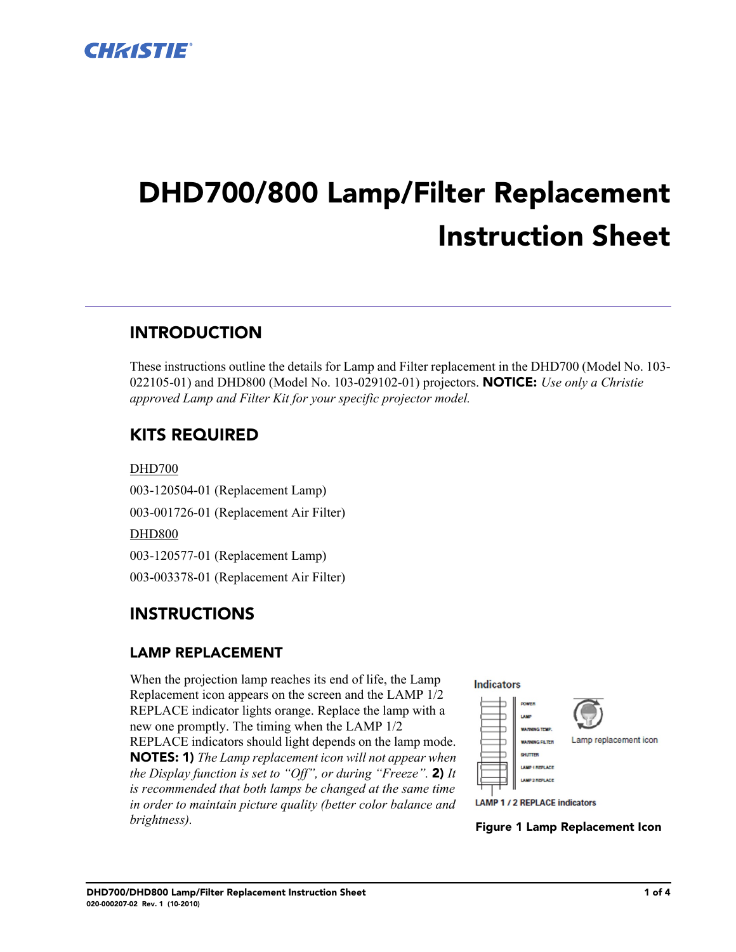

# **DHD700/800 Lamp/Filter Replacement Instruction Sheet**

# **INTRODUCTION**

These instructions outline the details for Lamp and Filter replacement in the DHD700 (Model No. 103- 022105-01) and DHD800 (Model No. 103-029102-01) projectors. **NOTICE:** *Use only a Christie approved Lamp and Filter Kit for your specific projector model.*

# **KITS REQUIRED**

DHD700 003-120504-01 (Replacement Lamp) 003-001726-01 (Replacement Air Filter) DHD800 003-120577-01 (Replacement Lamp) 003-003378-01 (Replacement Air Filter)

## **INSTRUCTIONS**

### **LAMP REPLACEMENT**

When the projection lamp reaches its end of life, the Lamp Replacement icon appears on the screen and the LAMP 1/2 REPLACE indicator lights orange. Replace the lamp with a new one promptly. The timing when the LAMP 1/2 REPLACE indicators should light depends on the lamp mode. **NOTES: 1)** *The Lamp replacement icon will not appear when the Display function is set to "Off", or during "Freeze".* **2)** *It is recommended that both lamps be changed at the same time in order to maintain picture quality (better color balance and brightness).* **Figure 1 Lamp Replacement Icon**

**Indicators** 

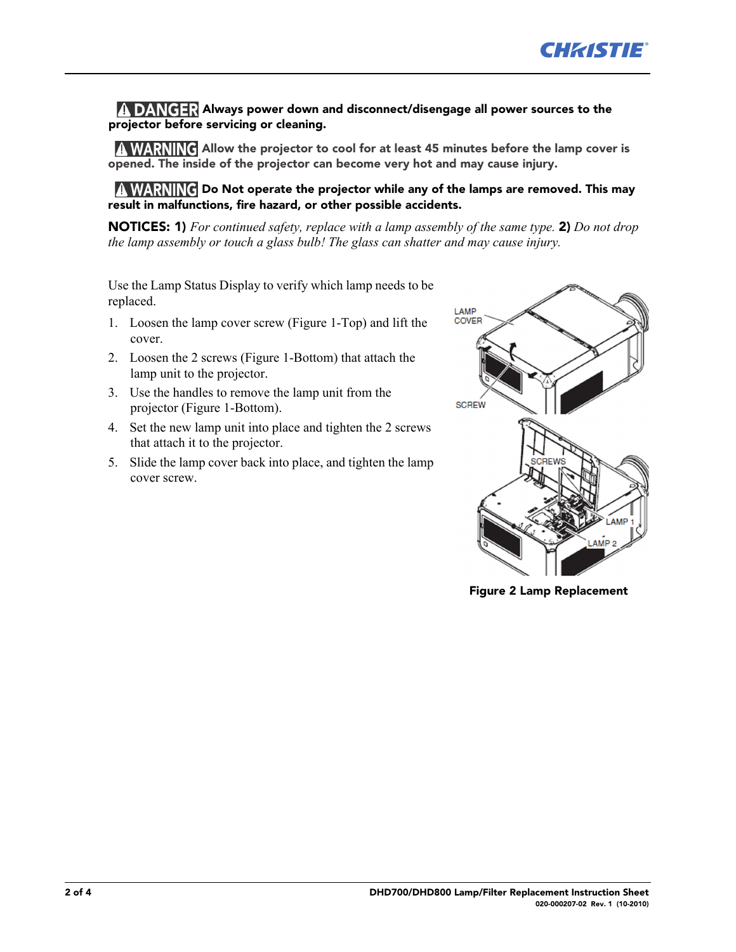#### **DANGER** Always power down and disconnect/disengage all power sources to the **projector before servicing or cleaning.**

**A WARNING** Allow the projector to cool for at least 45 minutes before the lamp cover is **opened. The inside of the projector can become very hot and may cause injury.**

**A WARNING** Do Not operate the projector while any of the lamps are removed. This may **result in malfunctions, fire hazard, or other possible accidents.**

**NOTICES: 1)** *For continued safety, replace with a lamp assembly of the same type.* **2)** *Do not drop the lamp assembly or touch a glass bulb! The glass can shatter and may cause injury.* 

Use the Lamp Status Display to verify which lamp needs to be replaced.

- 1. Loosen the lamp cover screw (Figure 1-Top) and lift the cover.
- 2. Loosen the 2 screws (Figure 1-Bottom) that attach the lamp unit to the projector.
- 3. Use the handles to remove the lamp unit from the projector (Figure 1-Bottom).
- 4. Set the new lamp unit into place and tighten the 2 screws that attach it to the projector.
- 5. Slide the lamp cover back into place, and tighten the lamp cover screw.



**Figure 2 Lamp Replacement**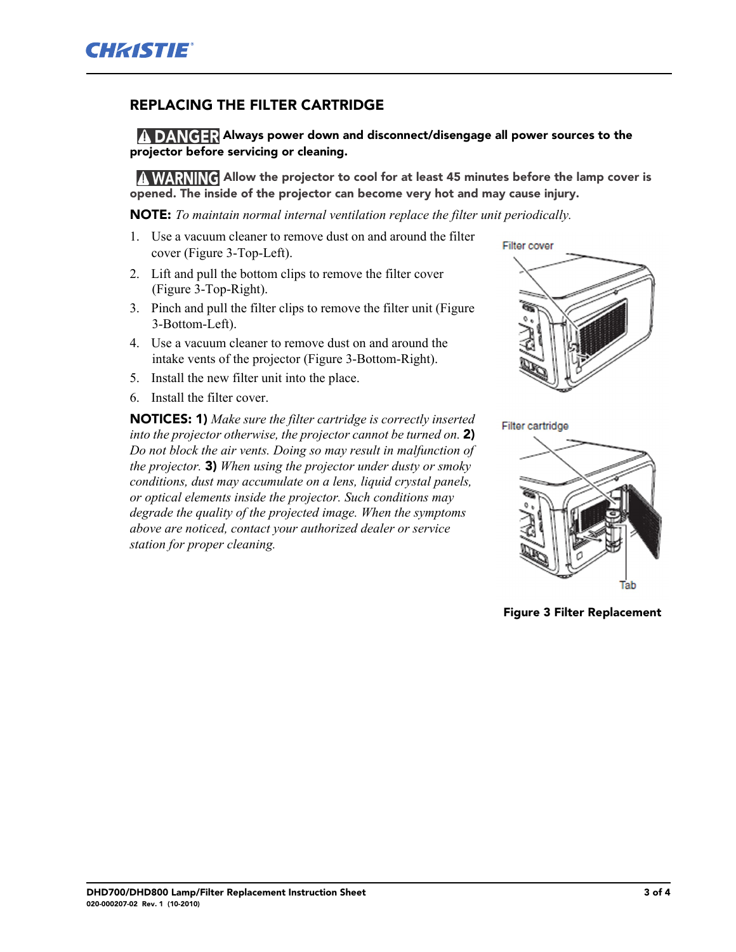#### **REPLACING THE FILTER CARTRIDGE**

**A DANGER Always power down and disconnect/disengage all power sources to the projector before servicing or cleaning.**

**A WARNING Allow the projector to cool for at least 45 minutes before the lamp cover is opened. The inside of the projector can become very hot and may cause injury.**

**NOTE:** *To maintain normal internal ventilation replace the filter unit periodically.* 

- 1. Use a vacuum cleaner to remove dust on and around the filter cover (Figure 3-Top-Left).
- 2. Lift and pull the bottom clips to remove the filter cover (Figure 3-Top-Right).
- 3. Pinch and pull the filter clips to remove the filter unit (Figure 3-Bottom-Left).
- 4. Use a vacuum cleaner to remove dust on and around the intake vents of the projector (Figure 3-Bottom-Right).
- 5. Install the new filter unit into the place.
- 6. Install the filter cover.

**NOTICES: 1)** *Make sure the filter cartridge is correctly inserted into the projector otherwise, the projector cannot be turned on.* **2)** *Do not block the air vents. Doing so may result in malfunction of the projector.* **3)** *When using the projector under dusty or smoky conditions, dust may accumulate on a lens, liquid crystal panels, or optical elements inside the projector. Such conditions may degrade the quality of the projected image. When the symptoms above are noticed, contact your authorized dealer or service station for proper cleaning.* 



Filter cartridge



**Figure 3 Filter Replacement**